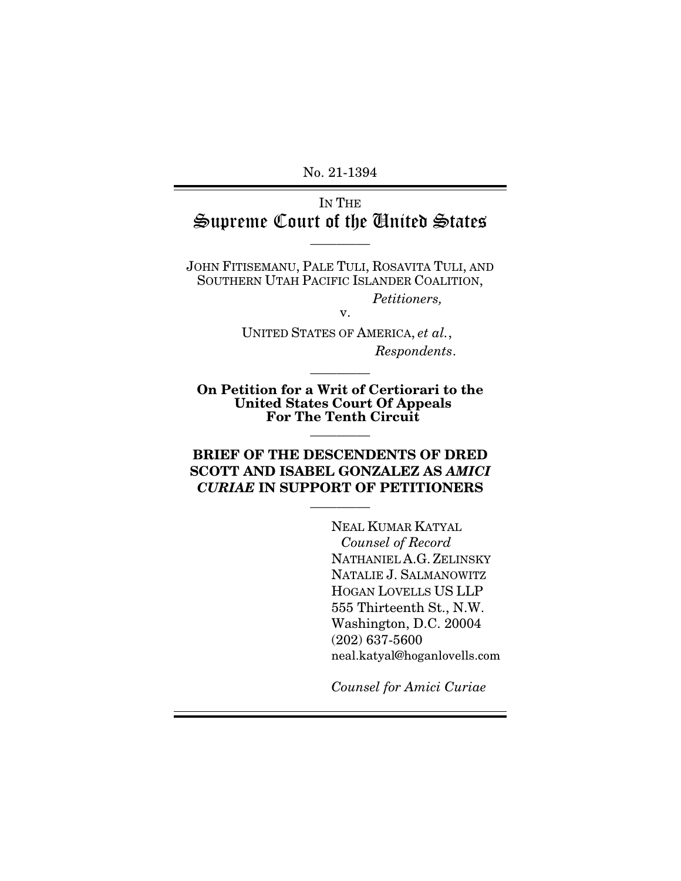No. 21-1394

# IN THE Supreme Court of the United States

 $\overline{\phantom{a}}$  . The set of  $\overline{\phantom{a}}$ 

JOHN FITISEMANU, PALE TULI, ROSAVITA TULI, AND SOUTHERN UTAH PACIFIC ISLANDER COALITION,

*Petitioners,*

UNITED STATES OF AMERICA, *et al.*, *Respondents*.

v.

On Petition for a Writ of Certiorari to the United States Court Of Appeals For The Tenth Circuit  $\overline{\phantom{a}}$  . The set of  $\overline{\phantom{a}}$ 

 $\overline{\phantom{a}}$  . The set of  $\overline{\phantom{a}}$ 

## BRIEF OF THE DESCENDENTS OF DRED SCOTT AND ISABEL GONZALEZ AS *AMICI CURIAE* IN SUPPORT OF PETITIONERS

 $\overline{\phantom{a}}$  . The set of  $\overline{\phantom{a}}$ 

NEAL KUMAR KATYAL *Counsel of Record*  NATHANIEL A.G. ZELINSKY NATALIE J. SALMANOWITZ HOGAN LOVELLS US LLP 555 Thirteenth St., N.W. Washington, D.C. 20004 (202) 637-5600 neal.katyal@hoganlovells.com

*Counsel for Amici Curiae*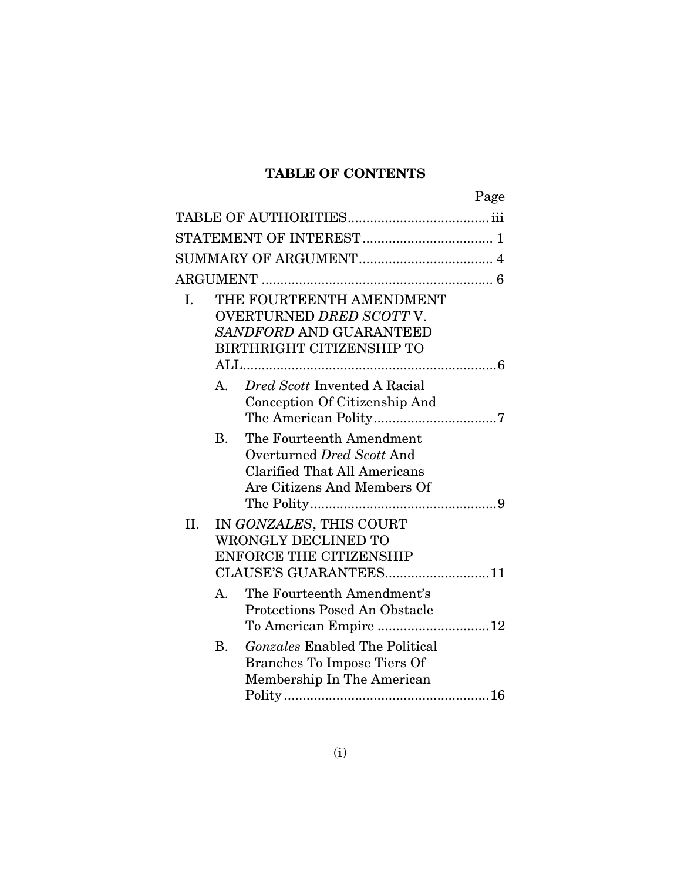# TABLE OF CONTENTS

|     |                |                                       | Page |
|-----|----------------|---------------------------------------|------|
|     |                |                                       |      |
|     |                |                                       |      |
|     |                |                                       |      |
|     |                |                                       |      |
| L.  |                | THE FOURTEENTH AMENDMENT              |      |
|     |                | OVERTURNED DRED SCOTT V.              |      |
|     |                | SANDFORD AND GUARANTEED               |      |
|     |                | <b>BIRTHRIGHT CITIZENSHIP TO</b>      |      |
|     |                |                                       |      |
|     | $A_{1}$        | Dred Scott Invented A Racial          |      |
|     |                | Conception Of Citizenship And         |      |
|     |                |                                       |      |
|     | <b>B.</b>      | The Fourteenth Amendment              |      |
|     |                | Overturned Dred Scott And             |      |
|     |                | <b>Clarified That All Americans</b>   |      |
|     |                | Are Citizens And Members Of           |      |
|     |                |                                       |      |
| II. |                | IN GONZALES, THIS COURT               |      |
|     |                | <b>WRONGLY DECLINED TO</b>            |      |
|     |                | <b>ENFORCE THE CITIZENSHIP</b>        |      |
|     |                | CLAUSE'S GUARANTEES11                 |      |
|     | $A_{\cdot}$    | The Fourteenth Amendment's            |      |
|     |                | <b>Protections Posed An Obstacle</b>  |      |
|     |                |                                       |      |
|     | B <sub>1</sub> | <b>Gonzales Enabled The Political</b> |      |
|     |                | <b>Branches To Impose Tiers Of</b>    |      |
|     |                | Membership In The American            |      |
|     |                |                                       |      |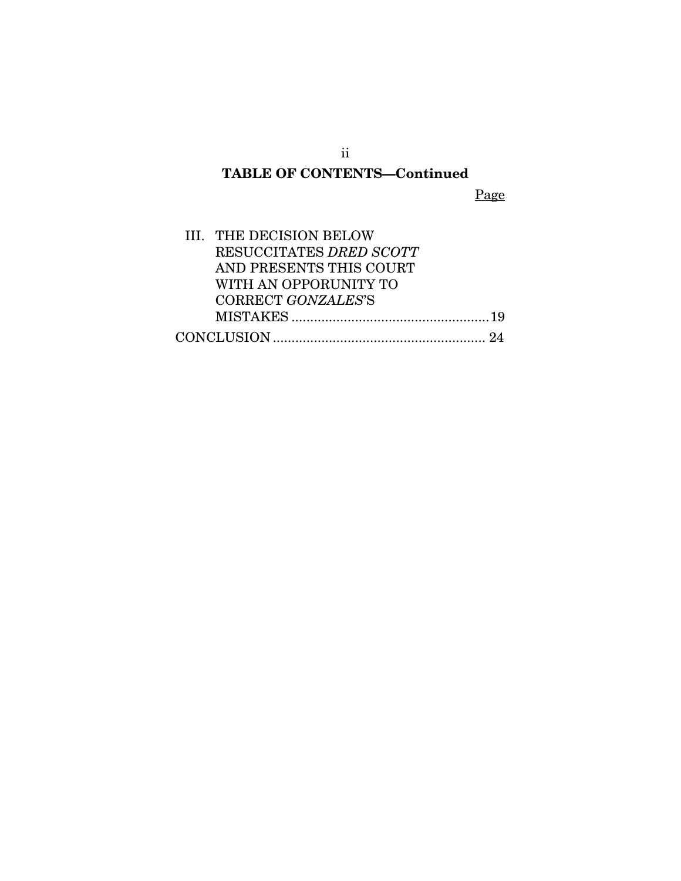# TABLE OF CONTENTS—Continued

Page

| III. THE DECISION BELOW |  |
|-------------------------|--|
| RESUCCITATES DRED SCOTT |  |
| AND PRESENTS THIS COURT |  |
| WITH AN OPPORUNITY TO   |  |
| CORRECT GONZALES'S      |  |
|                         |  |
|                         |  |

ii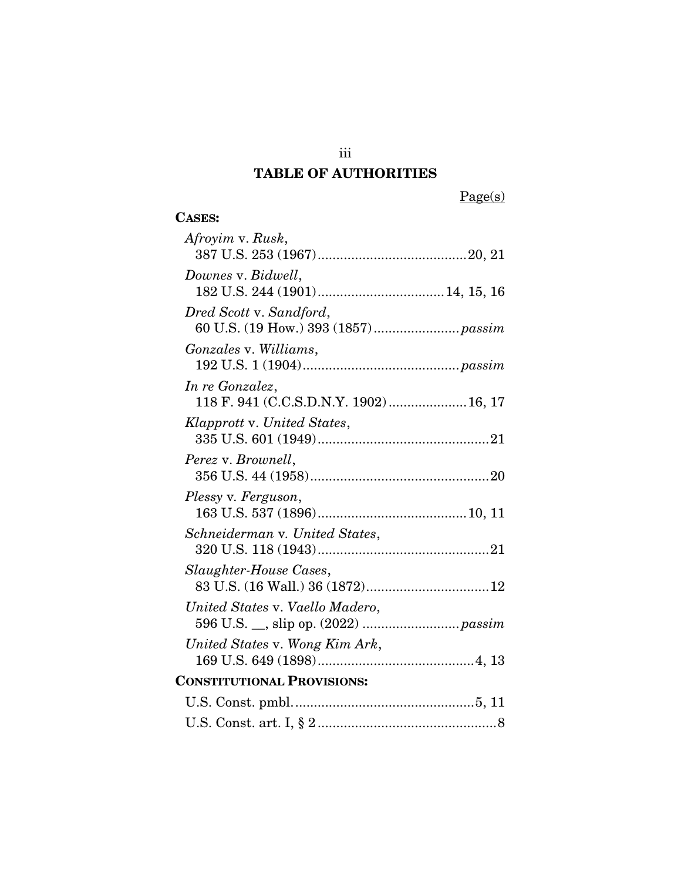# TABLE OF AUTHORITIES

Page(s)

| <b>CASES:</b>                                             |  |  |  |
|-----------------------------------------------------------|--|--|--|
| Afroyim v. Rusk,                                          |  |  |  |
| Downes v. Bidwell,                                        |  |  |  |
| Dred Scott v. Sandford,                                   |  |  |  |
| Gonzales v. Williams,                                     |  |  |  |
| In re Gonzalez,<br>118 F. 941 (C.C.S.D.N.Y. 1902)  16, 17 |  |  |  |
| Klapprott v. United States,                               |  |  |  |
| Perez v. Brownell,                                        |  |  |  |
| Plessy v. Ferguson,                                       |  |  |  |
| Schneiderman v. United States,                            |  |  |  |
| Slaughter-House Cases,                                    |  |  |  |
| United States v. Vaello Madero,                           |  |  |  |
| United States v. Wong Kim Ark,                            |  |  |  |
| <b>CONSTITUTIONAL PROVISIONS:</b>                         |  |  |  |
|                                                           |  |  |  |
|                                                           |  |  |  |

iii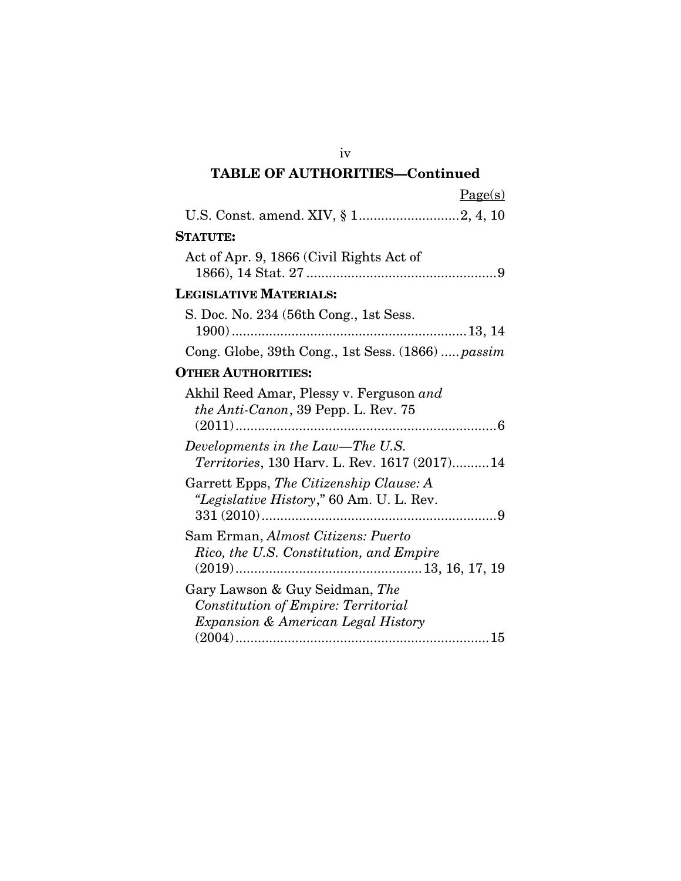| <b>TABLE OF AUTHORITIES-Continued</b>                                                                              |
|--------------------------------------------------------------------------------------------------------------------|
| Page(s)                                                                                                            |
|                                                                                                                    |
| <b>STATUTE:</b>                                                                                                    |
| Act of Apr. 9, 1866 (Civil Rights Act of                                                                           |
| <b>LEGISLATIVE MATERIALS:</b>                                                                                      |
| S. Doc. No. 234 (56th Cong., 1st Sess.                                                                             |
| Cong. Globe, 39th Cong., 1st Sess. (1866)  passim                                                                  |
| <b>OTHER AUTHORITIES:</b>                                                                                          |
| Akhil Reed Amar, Plessy v. Ferguson and<br>the Anti-Canon, 39 Pepp. L. Rev. 75                                     |
| Developments in the Law-The U.S.<br>Territories, 130 Harv. L. Rev. 1617 (2017) 14                                  |
| Garrett Epps, The Citizenship Clause: A<br>"Legislative History," 60 Am. U. L. Rev.<br>$331(2010)$                 |
| Sam Erman, Almost Citizens: Puerto<br>Rico, the U.S. Constitution, and Empire                                      |
| Gary Lawson & Guy Seidman, The<br><b>Constitution of Empire: Territorial</b><br>Expansion & American Legal History |

iv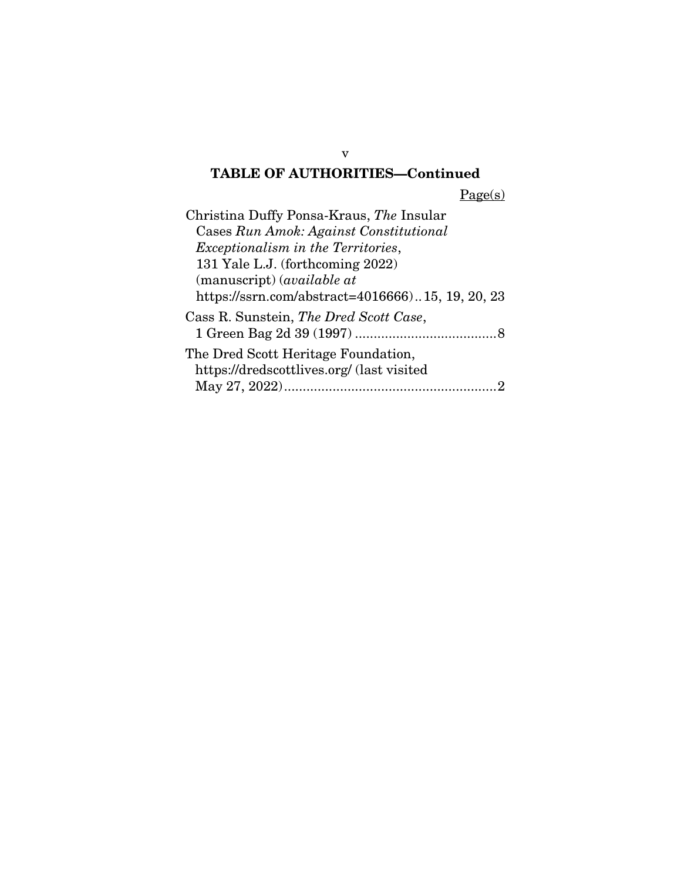# TABLE OF AUTHORITIES—Continued

Page(s)

v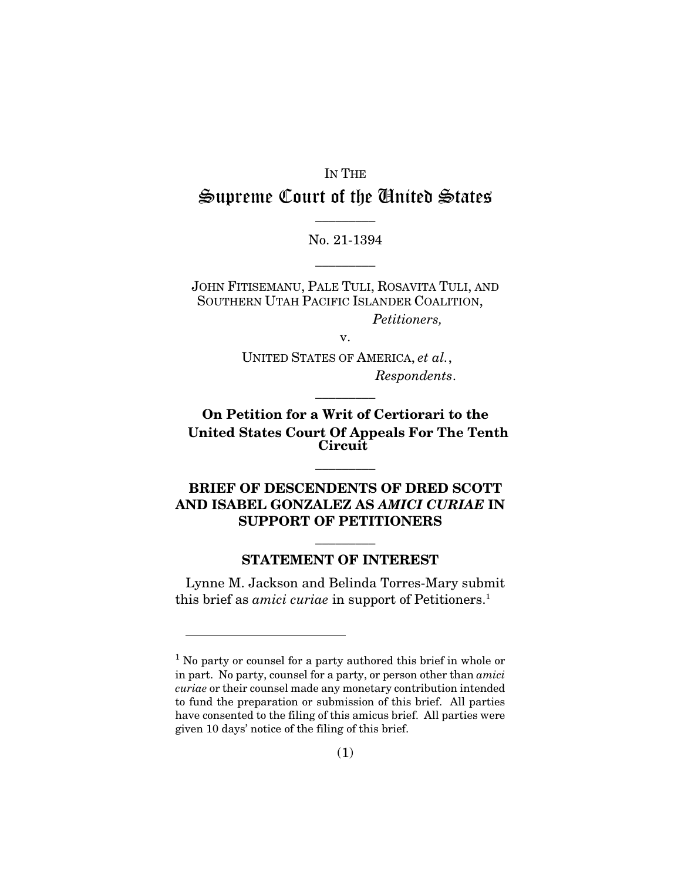# IN THE Supreme Court of the United States

 $\overline{\phantom{a}}$  . The set of  $\overline{\phantom{a}}$ 

No. 21-1394  $\overline{\phantom{a}}$   $\overline{\phantom{a}}$ 

JOHN FITISEMANU, PALE TULI, ROSAVITA TULI, AND SOUTHERN UTAH PACIFIC ISLANDER COALITION,

*Petitioners,*

v.

UNITED STATES OF AMERICA, *et al.*, *Respondents*.

 $\overline{\phantom{a}}$  . The set of  $\overline{\phantom{a}}$ 

On Petition for a Writ of Certiorari to the United States Court Of Appeals For The Tenth Circuit

 $\overline{\phantom{a}}$  . The set of  $\overline{\phantom{a}}$ 

# BRIEF OF DESCENDENTS OF DRED SCOTT AND ISABEL GONZALEZ AS *AMICI CURIAE* IN SUPPORT OF PETITIONERS

#### STATEMENT OF INTEREST

 $\overline{\phantom{a}}$  . The set of  $\overline{\phantom{a}}$ 

Lynne M. Jackson and Belinda Torres-Mary submit this brief as *amici curiae* in support of Petitioners.<sup>1</sup>

<sup>&</sup>lt;sup>1</sup> No party or counsel for a party authored this brief in whole or in part. No party, counsel for a party, or person other than *amici curiae* or their counsel made any monetary contribution intended to fund the preparation or submission of this brief. All parties have consented to the filing of this amicus brief. All parties were given 10 days' notice of the filing of this brief.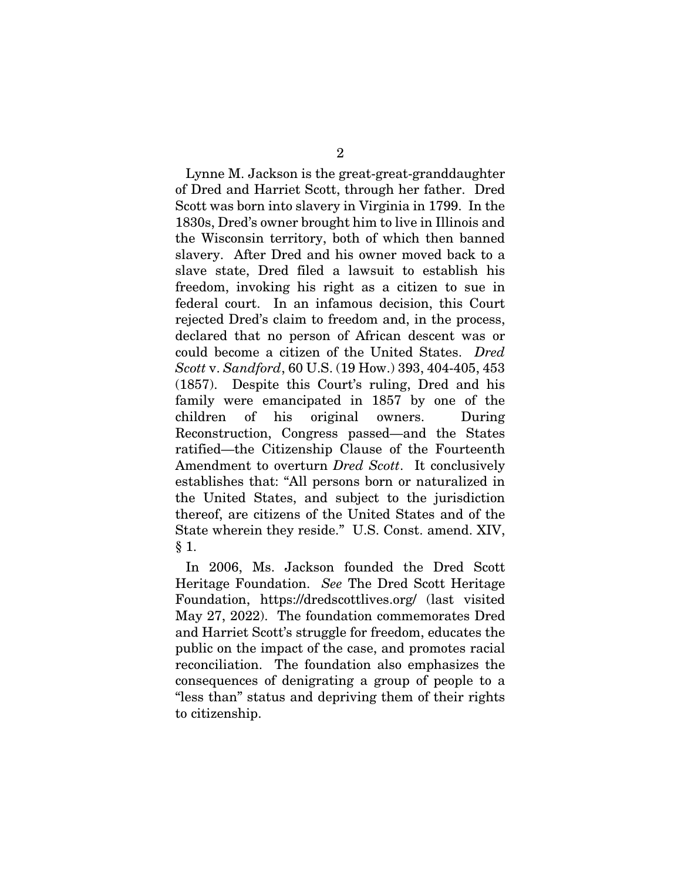Lynne M. Jackson is the great-great-granddaughter of Dred and Harriet Scott, through her father. Dred Scott was born into slavery in Virginia in 1799. In the 1830s, Dred's owner brought him to live in Illinois and the Wisconsin territory, both of which then banned slavery. After Dred and his owner moved back to a slave state, Dred filed a lawsuit to establish his freedom, invoking his right as a citizen to sue in federal court. In an infamous decision, this Court rejected Dred's claim to freedom and, in the process, declared that no person of African descent was or could become a citizen of the United States. *Dred Scott* v. *Sandford*, 60 U.S. (19 How.) 393, 404-405, 453 (1857). Despite this Court's ruling, Dred and his family were emancipated in 1857 by one of the children of his original owners. During Reconstruction, Congress passed—and the States ratified—the Citizenship Clause of the Fourteenth Amendment to overturn *Dred Scott*. It conclusively establishes that: "All persons born or naturalized in the United States, and subject to the jurisdiction thereof, are citizens of the United States and of the State wherein they reside." U.S. Const. amend. XIV,  $§ 1.$ 

In 2006, Ms. Jackson founded the Dred Scott Heritage Foundation. *See* The Dred Scott Heritage Foundation, https://dredscottlives.org/ (last visited May 27, 2022). The foundation commemorates Dred and Harriet Scott's struggle for freedom, educates the public on the impact of the case, and promotes racial reconciliation. The foundation also emphasizes the consequences of denigrating a group of people to a "less than" status and depriving them of their rights to citizenship.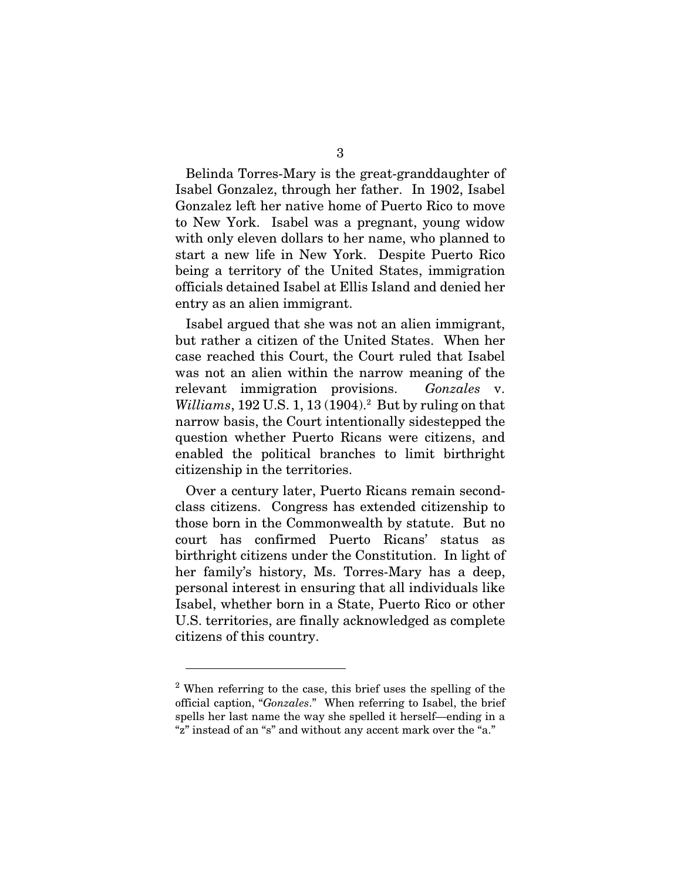Belinda Torres-Mary is the great-granddaughter of Isabel Gonzalez, through her father. In 1902, Isabel Gonzalez left her native home of Puerto Rico to move to New York. Isabel was a pregnant, young widow with only eleven dollars to her name, who planned to start a new life in New York. Despite Puerto Rico being a territory of the United States, immigration officials detained Isabel at Ellis Island and denied her entry as an alien immigrant.

Isabel argued that she was not an alien immigrant, but rather a citizen of the United States. When her case reached this Court, the Court ruled that Isabel was not an alien within the narrow meaning of the relevant immigration provisions. *Gonzales* v. *Williams*, 192 U.S. 1, 13 (1904).<sup>2</sup> But by ruling on that narrow basis, the Court intentionally sidestepped the question whether Puerto Ricans were citizens, and enabled the political branches to limit birthright citizenship in the territories.

Over a century later, Puerto Ricans remain secondclass citizens. Congress has extended citizenship to those born in the Commonwealth by statute. But no court has confirmed Puerto Ricans' status as birthright citizens under the Constitution. In light of her family's history, Ms. Torres-Mary has a deep, personal interest in ensuring that all individuals like Isabel, whether born in a State, Puerto Rico or other U.S. territories, are finally acknowledged as complete citizens of this country.

<sup>&</sup>lt;sup>2</sup> When referring to the case, this brief uses the spelling of the official caption, "*Gonzales*." When referring to Isabel, the brief spells her last name the way she spelled it herself—ending in a "z" instead of an "s" and without any accent mark over the "a."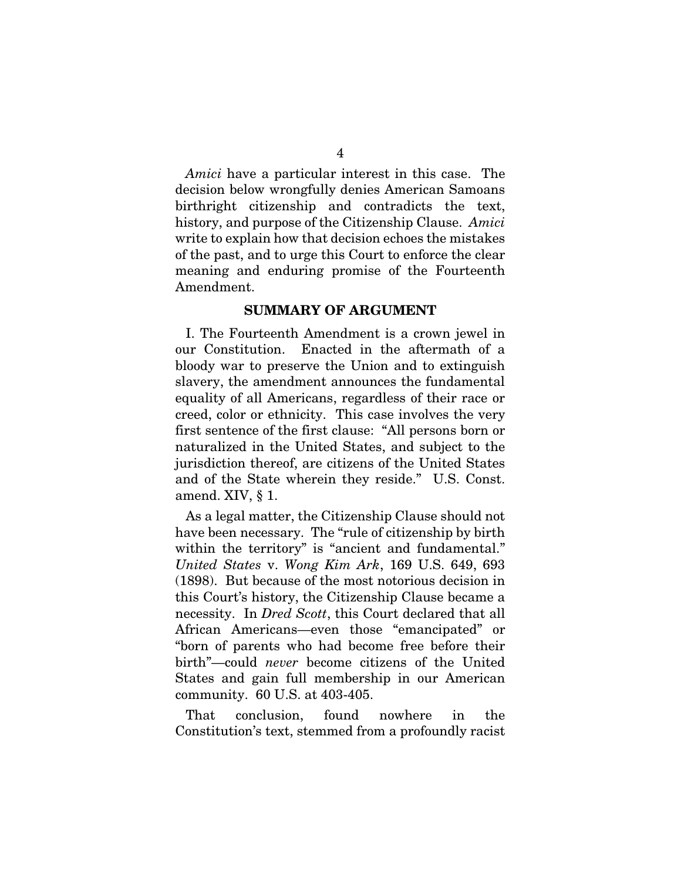*Amici* have a particular interest in this case. The decision below wrongfully denies American Samoans birthright citizenship and contradicts the text, history, and purpose of the Citizenship Clause. *Amici* write to explain how that decision echoes the mistakes of the past, and to urge this Court to enforce the clear meaning and enduring promise of the Fourteenth Amendment.

#### SUMMARY OF ARGUMENT

I. The Fourteenth Amendment is a crown jewel in our Constitution. Enacted in the aftermath of a bloody war to preserve the Union and to extinguish slavery, the amendment announces the fundamental equality of all Americans, regardless of their race or creed, color or ethnicity. This case involves the very first sentence of the first clause: "All persons born or naturalized in the United States, and subject to the jurisdiction thereof, are citizens of the United States and of the State wherein they reside." U.S. Const. amend. XIV, § 1.

As a legal matter, the Citizenship Clause should not have been necessary. The "rule of citizenship by birth within the territory" is "ancient and fundamental." *United States* v. *Wong Kim Ark*, 169 U.S. 649, 693 (1898). But because of the most notorious decision in this Court's history, the Citizenship Clause became a necessity. In *Dred Scott*, this Court declared that all African Americans—even those "emancipated" or "born of parents who had become free before their birth"—could *never* become citizens of the United States and gain full membership in our American community. 60 U.S. at 403-405.

That conclusion, found nowhere in the Constitution's text, stemmed from a profoundly racist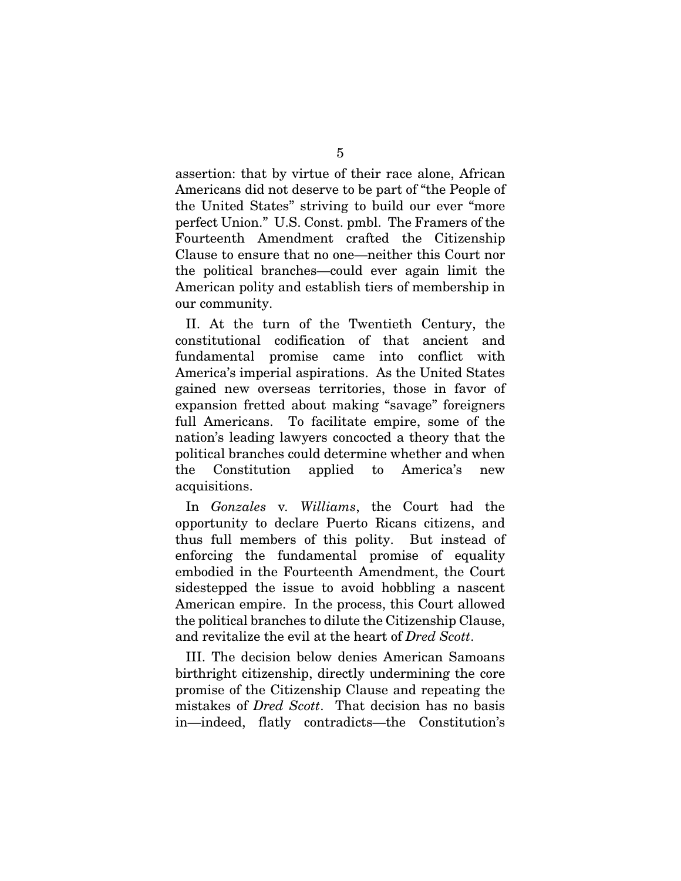assertion: that by virtue of their race alone, African Americans did not deserve to be part of "the People of the United States" striving to build our ever "more perfect Union." U.S. Const. pmbl. The Framers of the Fourteenth Amendment crafted the Citizenship Clause to ensure that no one—neither this Court nor the political branches—could ever again limit the American polity and establish tiers of membership in our community.

II. At the turn of the Twentieth Century, the constitutional codification of that ancient and fundamental promise came into conflict with America's imperial aspirations. As the United States gained new overseas territories, those in favor of expansion fretted about making "savage" foreigners full Americans. To facilitate empire, some of the nation's leading lawyers concocted a theory that the political branches could determine whether and when the Constitution applied to America's new acquisitions.

In *Gonzales* v*. Williams*, the Court had the opportunity to declare Puerto Ricans citizens, and thus full members of this polity. But instead of enforcing the fundamental promise of equality embodied in the Fourteenth Amendment, the Court sidestepped the issue to avoid hobbling a nascent American empire. In the process, this Court allowed the political branches to dilute the Citizenship Clause, and revitalize the evil at the heart of *Dred Scott*.

III. The decision below denies American Samoans birthright citizenship, directly undermining the core promise of the Citizenship Clause and repeating the mistakes of *Dred Scott*. That decision has no basis in—indeed, flatly contradicts—the Constitution's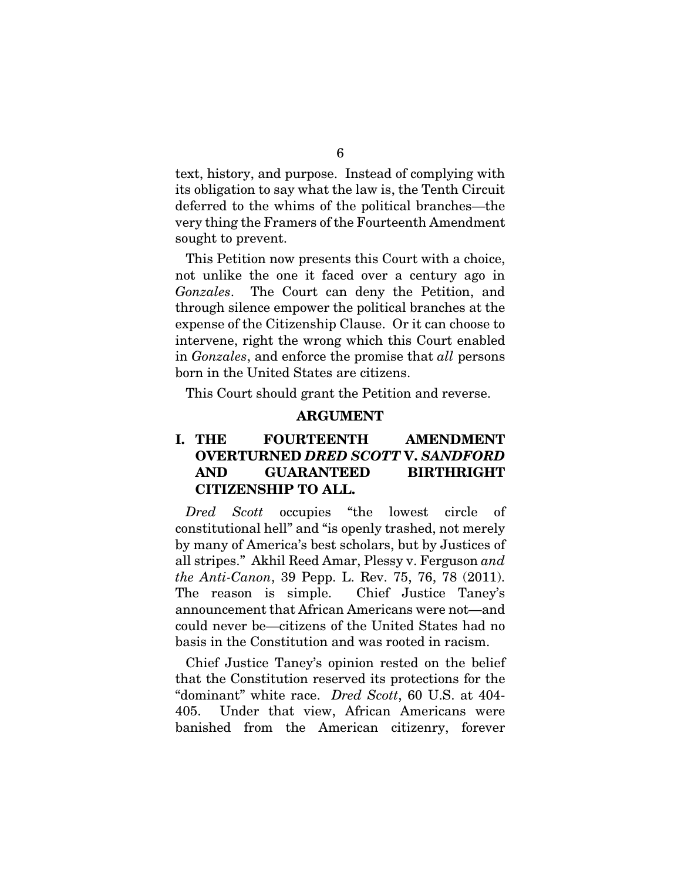text, history, and purpose. Instead of complying with its obligation to say what the law is, the Tenth Circuit deferred to the whims of the political branches—the very thing the Framers of the Fourteenth Amendment sought to prevent.

This Petition now presents this Court with a choice, not unlike the one it faced over a century ago in *Gonzales*. The Court can deny the Petition, and through silence empower the political branches at the expense of the Citizenship Clause. Or it can choose to intervene, right the wrong which this Court enabled in *Gonzales*, and enforce the promise that *all* persons born in the United States are citizens.

This Court should grant the Petition and reverse.

#### ARGUMENT

# I. THE FOURTEENTH AMENDMENT OVERTURNED *DRED SCOTT* V. *SANDFORD* AND GUARANTEED BIRTHRIGHT CITIZENSHIP TO ALL.

*Dred Scott* occupies "the lowest circle of constitutional hell" and "is openly trashed, not merely by many of America's best scholars, but by Justices of all stripes." Akhil Reed Amar, Plessy v. Ferguson *and the Anti-Canon*, 39 Pepp. L. Rev. 75, 76, 78 (2011). The reason is simple. Chief Justice Taney's announcement that African Americans were not—and could never be—citizens of the United States had no basis in the Constitution and was rooted in racism.

Chief Justice Taney's opinion rested on the belief that the Constitution reserved its protections for the "dominant" white race. *Dred Scott*, 60 U.S. at 404- 405. Under that view, African Americans were banished from the American citizenry, forever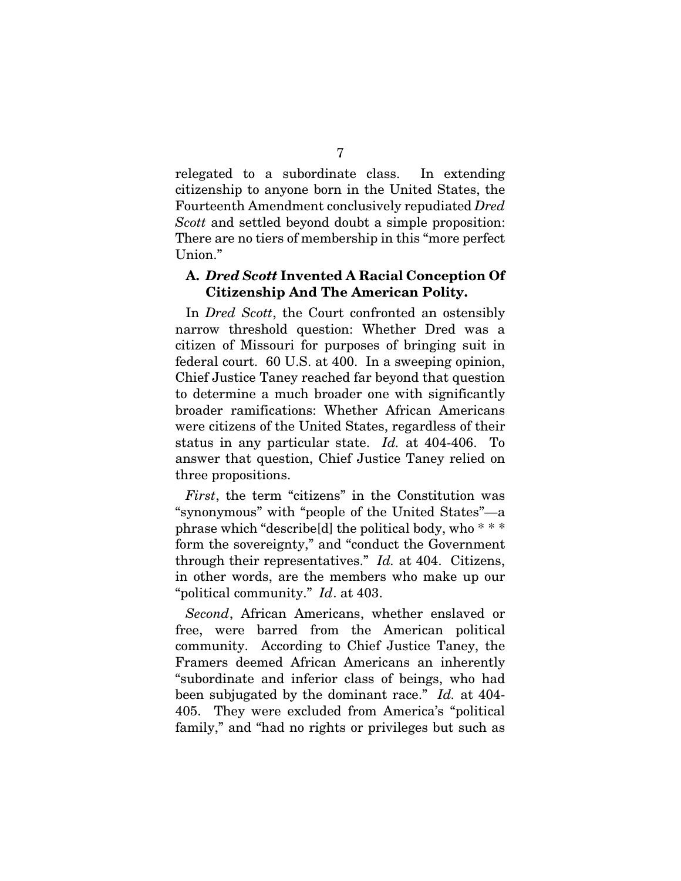relegated to a subordinate class. In extending citizenship to anyone born in the United States, the Fourteenth Amendment conclusively repudiated *Dred Scott* and settled beyond doubt a simple proposition: There are no tiers of membership in this "more perfect Union."

### A. *Dred Scott* Invented A Racial Conception Of Citizenship And The American Polity.

In *Dred Scott*, the Court confronted an ostensibly narrow threshold question: Whether Dred was a citizen of Missouri for purposes of bringing suit in federal court. 60 U.S. at 400. In a sweeping opinion, Chief Justice Taney reached far beyond that question to determine a much broader one with significantly broader ramifications: Whether African Americans were citizens of the United States, regardless of their status in any particular state. *Id.* at 404-406. To answer that question, Chief Justice Taney relied on three propositions.

*First*, the term "citizens" in the Constitution was "synonymous" with "people of the United States"—a phrase which "describe[d] the political body, who \* \* \* form the sovereignty," and "conduct the Government through their representatives." *Id.* at 404. Citizens, in other words, are the members who make up our "political community." *Id*. at 403.

*Second*, African Americans, whether enslaved or free, were barred from the American political community. According to Chief Justice Taney, the Framers deemed African Americans an inherently "subordinate and inferior class of beings, who had been subjugated by the dominant race." *Id.* at 404- 405. They were excluded from America's "political family," and "had no rights or privileges but such as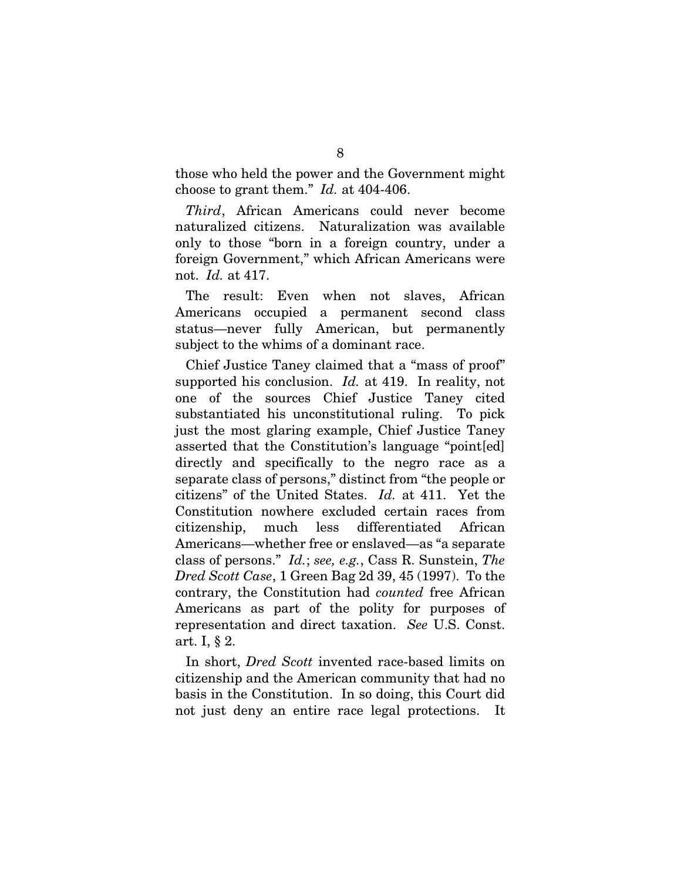those who held the power and the Government might choose to grant them." *Id.* at 404-406.

*Third*, African Americans could never become naturalized citizens. Naturalization was available only to those "born in a foreign country, under a foreign Government," which African Americans were not. *Id.* at 417.

The result: Even when not slaves, African Americans occupied a permanent second class status—never fully American, but permanently subject to the whims of a dominant race.

Chief Justice Taney claimed that a "mass of proof" supported his conclusion. *Id.* at 419. In reality, not one of the sources Chief Justice Taney cited substantiated his unconstitutional ruling. To pick just the most glaring example, Chief Justice Taney asserted that the Constitution's language "point[ed] directly and specifically to the negro race as a separate class of persons," distinct from "the people or citizens" of the United States. *Id.* at 411. Yet the Constitution nowhere excluded certain races from citizenship, much less differentiated African Americans—whether free or enslaved—as "a separate class of persons." *Id.*; *see, e.g.*, Cass R. Sunstein, *The Dred Scott Case*, 1 Green Bag 2d 39, 45 (1997). To the contrary, the Constitution had *counted* free African Americans as part of the polity for purposes of representation and direct taxation. *See* U.S. Const. art. I, § 2.

In short, *Dred Scott* invented race-based limits on citizenship and the American community that had no basis in the Constitution. In so doing, this Court did not just deny an entire race legal protections. It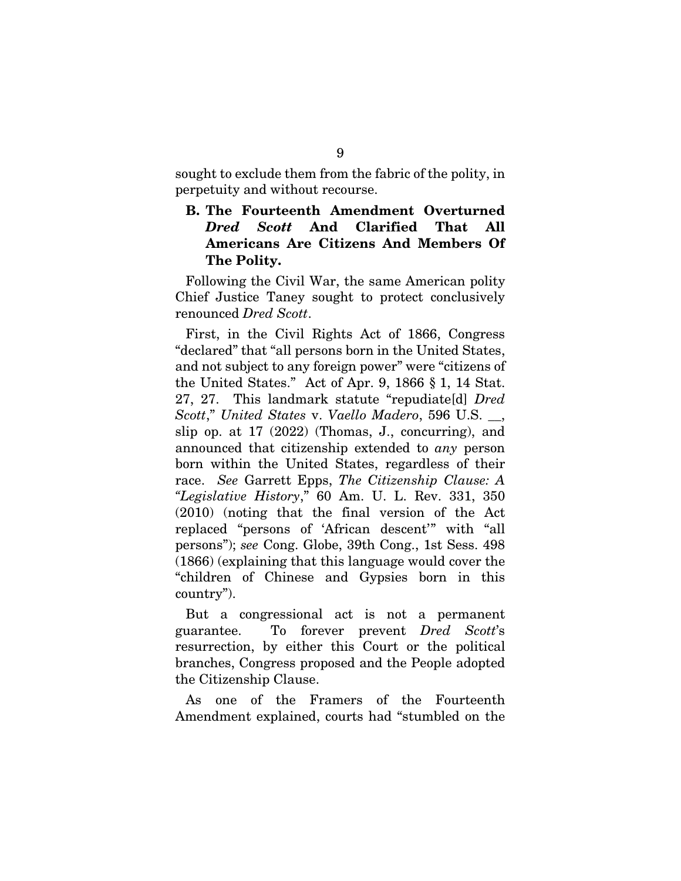sought to exclude them from the fabric of the polity, in perpetuity and without recourse.

# B. The Fourteenth Amendment Overturned *Dred Scott* And Clarified That All Americans Are Citizens And Members Of The Polity.

Following the Civil War, the same American polity Chief Justice Taney sought to protect conclusively renounced *Dred Scott*.

First, in the Civil Rights Act of 1866, Congress "declared" that "all persons born in the United States, and not subject to any foreign power" were "citizens of the United States." Act of Apr. 9, 1866 § 1, 14 Stat. 27, 27. This landmark statute "repudiate[d] *Dred Scott*," *United States* v. *Vaello Madero*, 596 U.S. \_\_, slip op. at 17 (2022) (Thomas, J., concurring), and announced that citizenship extended to *any* person born within the United States, regardless of their race. *See* Garrett Epps, *The Citizenship Clause: A "Legislative History*," 60 Am. U. L. Rev. 331, 350 (2010) (noting that the final version of the Act replaced "persons of 'African descent'" with "all persons"); *see* Cong. Globe, 39th Cong., 1st Sess. 498 (1866) (explaining that this language would cover the "children of Chinese and Gypsies born in this country").

But a congressional act is not a permanent guarantee. To forever prevent *Dred Scott*'s resurrection, by either this Court or the political branches, Congress proposed and the People adopted the Citizenship Clause.

As one of the Framers of the Fourteenth Amendment explained, courts had "stumbled on the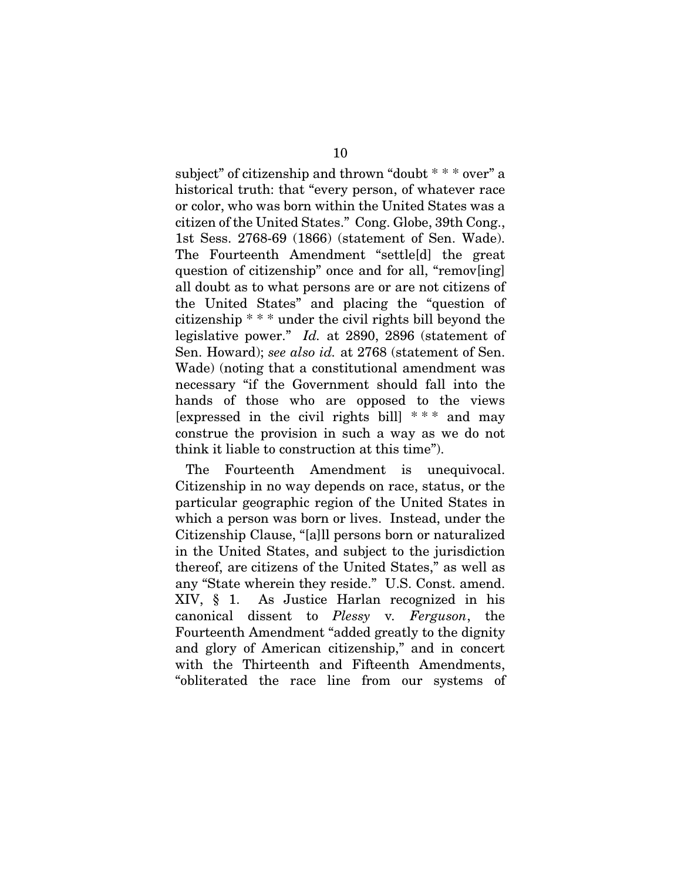subject" of citizenship and thrown "doubt \* \* \* over" a historical truth: that "every person, of whatever race or color, who was born within the United States was a citizen of the United States." Cong. Globe, 39th Cong., 1st Sess. 2768-69 (1866) (statement of Sen. Wade). The Fourteenth Amendment "settle[d] the great question of citizenship" once and for all, "remov[ing] all doubt as to what persons are or are not citizens of the United States" and placing the "question of citizenship \* \* \* under the civil rights bill beyond the legislative power." *Id.* at 2890, 2896 (statement of Sen. Howard); *see also id.* at 2768 (statement of Sen. Wade) (noting that a constitutional amendment was necessary "if the Government should fall into the hands of those who are opposed to the views [expressed in the civil rights bill]  $***$  and may construe the provision in such a way as we do not think it liable to construction at this time").

The Fourteenth Amendment is unequivocal. Citizenship in no way depends on race, status, or the particular geographic region of the United States in which a person was born or lives. Instead, under the Citizenship Clause, "[a]ll persons born or naturalized in the United States, and subject to the jurisdiction thereof, are citizens of the United States," as well as any "State wherein they reside." U.S. Const. amend. XIV, § 1. As Justice Harlan recognized in his canonical dissent to *Plessy* v*. Ferguson*, the Fourteenth Amendment "added greatly to the dignity and glory of American citizenship," and in concert with the Thirteenth and Fifteenth Amendments, "obliterated the race line from our systems of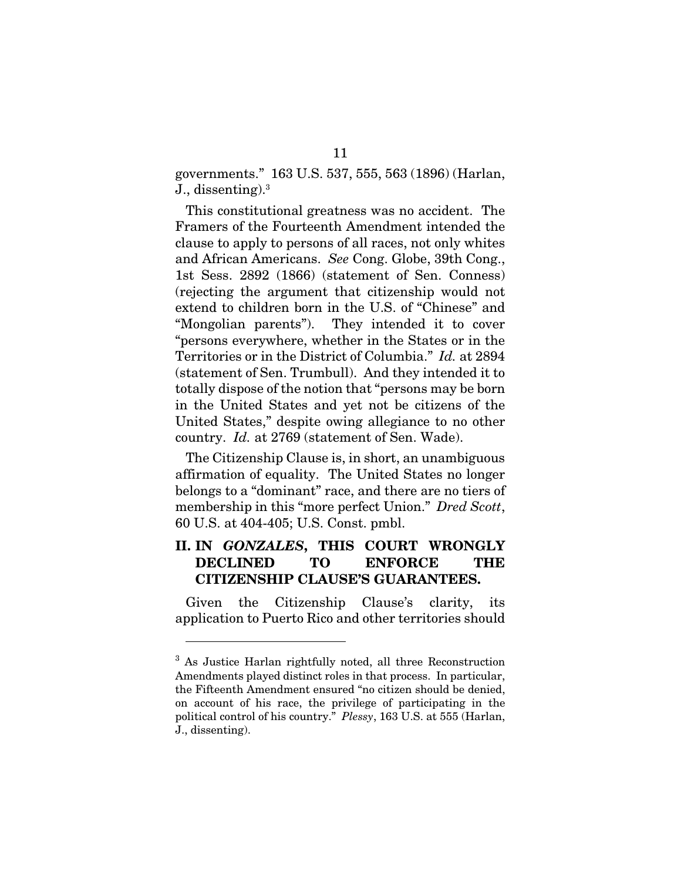governments." 163 U.S. 537, 555, 563 (1896) (Harlan, J., dissenting).<sup>3</sup>

This constitutional greatness was no accident. The Framers of the Fourteenth Amendment intended the clause to apply to persons of all races, not only whites and African Americans. *See* Cong. Globe, 39th Cong., 1st Sess. 2892 (1866) (statement of Sen. Conness) (rejecting the argument that citizenship would not extend to children born in the U.S. of "Chinese" and "Mongolian parents"). They intended it to cover "persons everywhere, whether in the States or in the Territories or in the District of Columbia." *Id.* at 2894 (statement of Sen. Trumbull). And they intended it to totally dispose of the notion that "persons may be born in the United States and yet not be citizens of the United States," despite owing allegiance to no other country. *Id.* at 2769 (statement of Sen. Wade).

The Citizenship Clause is, in short, an unambiguous affirmation of equality. The United States no longer belongs to a "dominant" race, and there are no tiers of membership in this "more perfect Union." *Dred Scott*, 60 U.S. at 404-405; U.S. Const. pmbl.

# II. IN *GONZALES*, THIS COURT WRONGLY DECLINED TO ENFORCE THE CITIZENSHIP CLAUSE'S GUARANTEES.

Given the Citizenship Clause's clarity, its application to Puerto Rico and other territories should

<sup>3</sup> As Justice Harlan rightfully noted, all three Reconstruction Amendments played distinct roles in that process. In particular, the Fifteenth Amendment ensured "no citizen should be denied, on account of his race, the privilege of participating in the political control of his country." *Plessy*, 163 U.S. at 555 (Harlan, J., dissenting).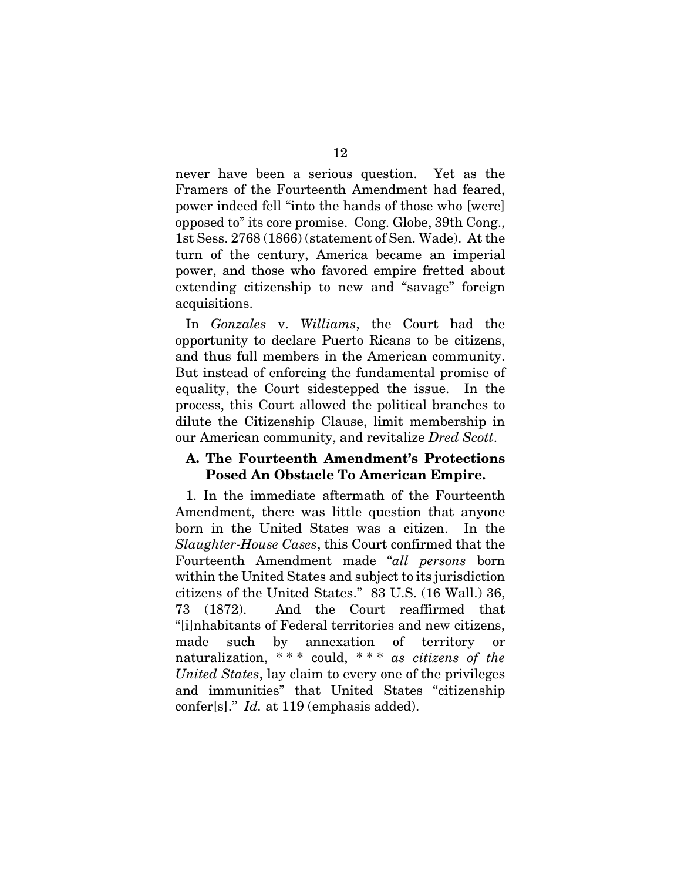never have been a serious question. Yet as the Framers of the Fourteenth Amendment had feared, power indeed fell "into the hands of those who [were] opposed to" its core promise. Cong. Globe, 39th Cong., 1st Sess. 2768 (1866) (statement of Sen. Wade). At the turn of the century, America became an imperial power, and those who favored empire fretted about extending citizenship to new and "savage" foreign acquisitions.

In *Gonzales* v. *Williams*, the Court had the opportunity to declare Puerto Ricans to be citizens, and thus full members in the American community. But instead of enforcing the fundamental promise of equality, the Court sidestepped the issue. In the process, this Court allowed the political branches to dilute the Citizenship Clause, limit membership in our American community, and revitalize *Dred Scott*.

#### A. The Fourteenth Amendment's Protections Posed An Obstacle To American Empire.

1. In the immediate aftermath of the Fourteenth Amendment, there was little question that anyone born in the United States was a citizen. In the *Slaughter-House Cases*, this Court confirmed that the Fourteenth Amendment made "*all persons* born within the United States and subject to its jurisdiction citizens of the United States." 83 U.S. (16 Wall.) 36, 73 (1872). And the Court reaffirmed that "[i]nhabitants of Federal territories and new citizens, made such by annexation of territory or naturalization, \* \* \* could, \* \* \* *as citizens of the United States*, lay claim to every one of the privileges and immunities" that United States "citizenship confer[s]." *Id.* at 119 (emphasis added).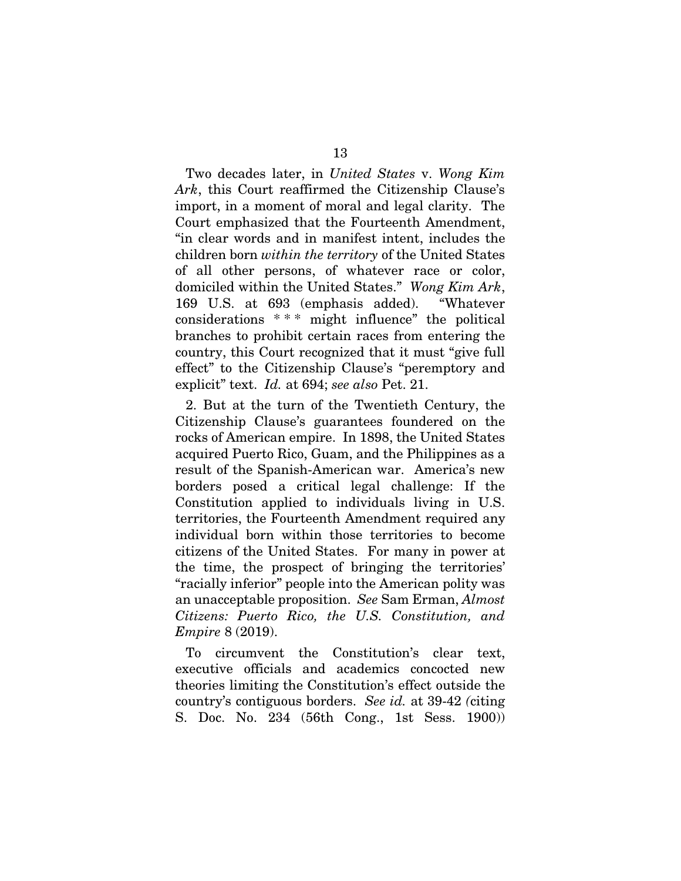Two decades later, in *United States* v. *Wong Kim Ark*, this Court reaffirmed the Citizenship Clause's import, in a moment of moral and legal clarity. The Court emphasized that the Fourteenth Amendment, "in clear words and in manifest intent, includes the children born *within the territory* of the United States of all other persons, of whatever race or color, domiciled within the United States." *Wong Kim Ark*, 169 U.S. at 693 (emphasis added). "Whatever considerations \* \* \* might influence" the political branches to prohibit certain races from entering the country, this Court recognized that it must "give full effect" to the Citizenship Clause's "peremptory and explicit" text. *Id.* at 694; *see also* Pet. 21.

2. But at the turn of the Twentieth Century, the Citizenship Clause's guarantees foundered on the rocks of American empire. In 1898, the United States acquired Puerto Rico, Guam, and the Philippines as a result of the Spanish-American war. America's new borders posed a critical legal challenge: If the Constitution applied to individuals living in U.S. territories, the Fourteenth Amendment required any individual born within those territories to become citizens of the United States. For many in power at the time, the prospect of bringing the territories' "racially inferior" people into the American polity was an unacceptable proposition. *See* Sam Erman, *Almost Citizens: Puerto Rico, the U.S. Constitution, and Empire* 8 (2019).

To circumvent the Constitution's clear text, executive officials and academics concocted new theories limiting the Constitution's effect outside the country's contiguous borders. *See id.* at 39-42 *(*citing S. Doc. No. 234 (56th Cong., 1st Sess. 1900))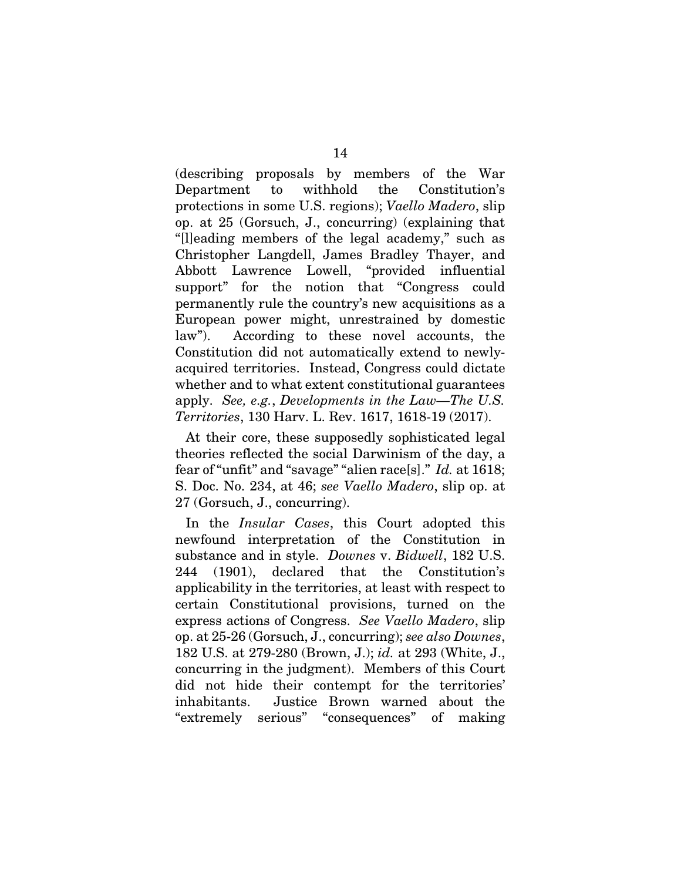(describing proposals by members of the War Department to withhold the Constitution's protections in some U.S. regions); *Vaello Madero*, slip op. at 25 (Gorsuch, J., concurring) (explaining that "[l]eading members of the legal academy," such as Christopher Langdell, James Bradley Thayer, and Abbott Lawrence Lowell, "provided influential support" for the notion that "Congress could permanently rule the country's new acquisitions as a European power might, unrestrained by domestic law"). According to these novel accounts, the Constitution did not automatically extend to newlyacquired territories. Instead, Congress could dictate whether and to what extent constitutional guarantees apply. *See, e.g.*, *Developments in the Law—The U.S. Territories*, 130 Harv. L. Rev. 1617, 1618-19 (2017).

At their core, these supposedly sophisticated legal theories reflected the social Darwinism of the day, a fear of "unfit" and "savage" "alien race[s]." *Id.* at 1618; S. Doc. No. 234, at 46; *see Vaello Madero*, slip op. at 27 (Gorsuch, J., concurring).

In the *Insular Cases*, this Court adopted this newfound interpretation of the Constitution in substance and in style. *Downes* v. *Bidwell*, 182 U.S. 244 (1901), declared that the Constitution's applicability in the territories, at least with respect to certain Constitutional provisions, turned on the express actions of Congress. *See Vaello Madero*, slip op. at 25-26 (Gorsuch, J., concurring); *see also Downes*, 182 U.S. at 279-280 (Brown, J.); *id.* at 293 (White, J., concurring in the judgment). Members of this Court did not hide their contempt for the territories' inhabitants. Justice Brown warned about the "extremely serious" "consequences" of making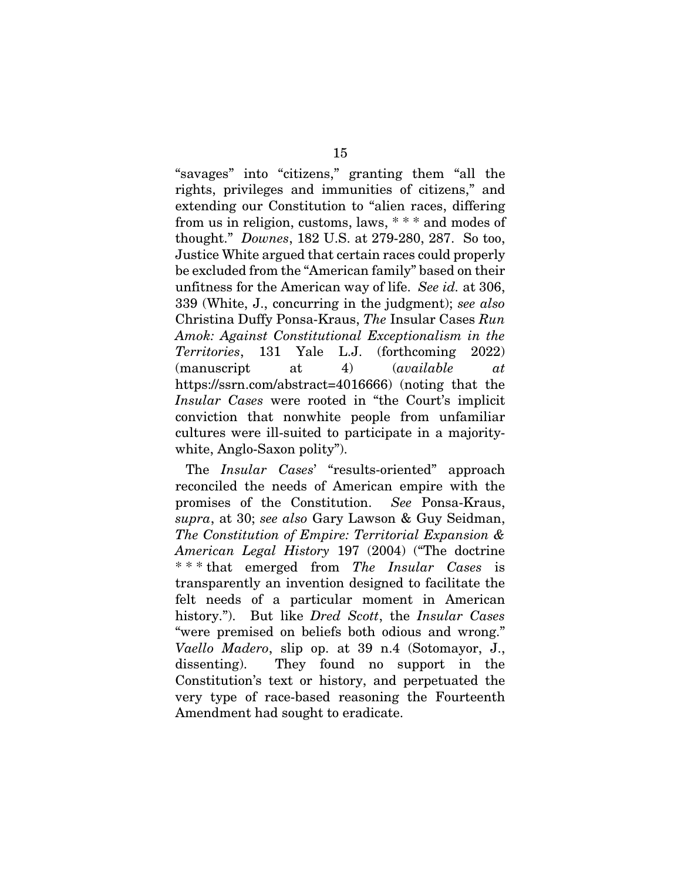"savages" into "citizens," granting them "all the rights, privileges and immunities of citizens," and extending our Constitution to "alien races, differing from us in religion, customs, laws, \* \* \* and modes of thought." *Downes*, 182 U.S. at 279-280, 287. So too, Justice White argued that certain races could properly be excluded from the "American family" based on their unfitness for the American way of life. *See id.* at 306, 339 (White, J., concurring in the judgment); *see also*  Christina Duffy Ponsa-Kraus, *The* Insular Cases *Run Amok: Against Constitutional Exceptionalism in the Territories*, 131 Yale L.J. (forthcoming 2022) (manuscript at 4) (*available at*  https://ssrn.com/abstract=4016666) (noting that the *Insular Cases* were rooted in "the Court's implicit conviction that nonwhite people from unfamiliar cultures were ill-suited to participate in a majoritywhite, Anglo-Saxon polity").

The *Insular Cases*' "results-oriented" approach reconciled the needs of American empire with the promises of the Constitution. *See* Ponsa-Kraus, *supra*, at 30; *see also* Gary Lawson & Guy Seidman, *The Constitution of Empire: Territorial Expansion & American Legal History* 197 (2004) ("The doctrine \* \* \* that emerged from *The Insular Cases* is transparently an invention designed to facilitate the felt needs of a particular moment in American history."). But like *Dred Scott*, the *Insular Cases* "were premised on beliefs both odious and wrong." *Vaello Madero*, slip op. at 39 n.4 (Sotomayor, J., dissenting). They found no support in the Constitution's text or history, and perpetuated the very type of race-based reasoning the Fourteenth Amendment had sought to eradicate.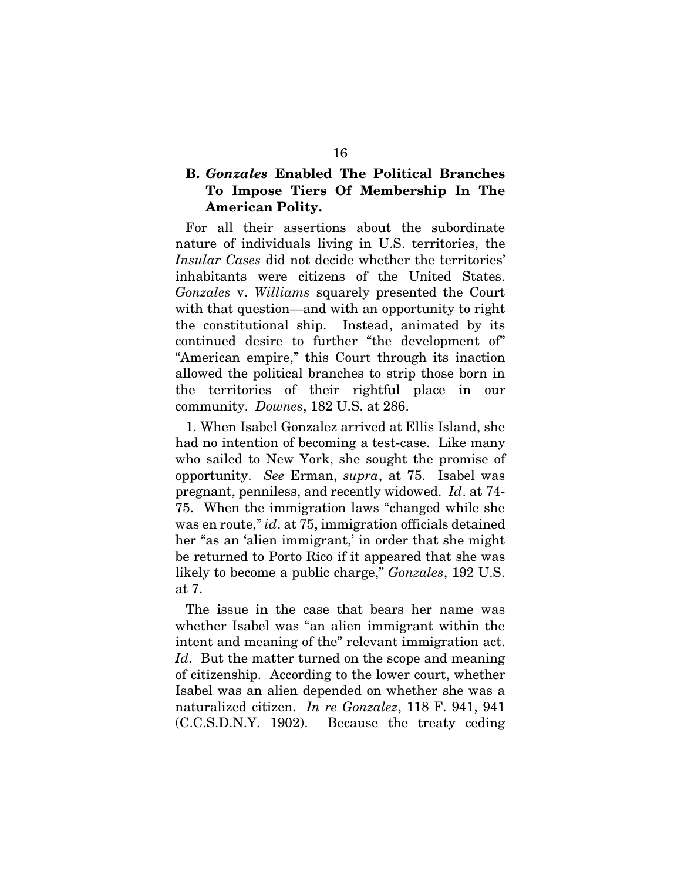# B. *Gonzales* Enabled The Political Branches To Impose Tiers Of Membership In The American Polity.

For all their assertions about the subordinate nature of individuals living in U.S. territories, the *Insular Cases* did not decide whether the territories' inhabitants were citizens of the United States. *Gonzales* v. *Williams* squarely presented the Court with that question—and with an opportunity to right the constitutional ship. Instead, animated by its continued desire to further "the development of" "American empire," this Court through its inaction allowed the political branches to strip those born in the territories of their rightful place in our community. *Downes*, 182 U.S. at 286.

1. When Isabel Gonzalez arrived at Ellis Island, she had no intention of becoming a test-case. Like many who sailed to New York, she sought the promise of opportunity. *See* Erman, *supra*, at 75. Isabel was pregnant, penniless, and recently widowed. *Id*. at 74- 75. When the immigration laws "changed while she was en route," *id*. at 75, immigration officials detained her "as an 'alien immigrant,' in order that she might be returned to Porto Rico if it appeared that she was likely to become a public charge," *Gonzales*, 192 U.S. at 7.

The issue in the case that bears her name was whether Isabel was "an alien immigrant within the intent and meaning of the" relevant immigration act. Id. But the matter turned on the scope and meaning of citizenship. According to the lower court, whether Isabel was an alien depended on whether she was a naturalized citizen. *In re Gonzalez*, 118 F. 941, 941 (C.C.S.D.N.Y. 1902). Because the treaty ceding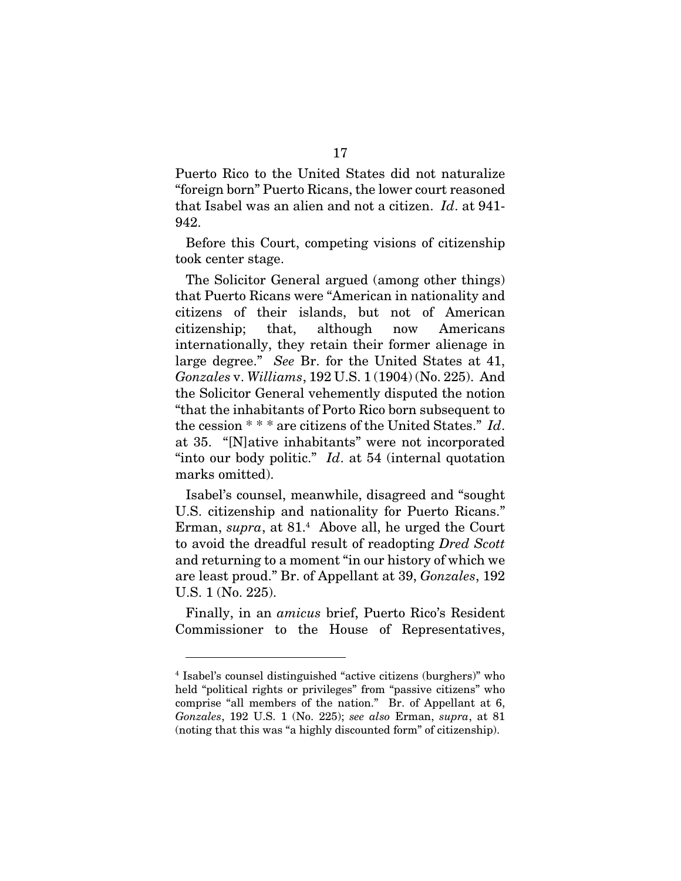Puerto Rico to the United States did not naturalize "foreign born" Puerto Ricans, the lower court reasoned that Isabel was an alien and not a citizen. *Id*. at 941- 942.

Before this Court, competing visions of citizenship took center stage.

The Solicitor General argued (among other things) that Puerto Ricans were "American in nationality and citizens of their islands, but not of American citizenship; that, although now Americans internationally, they retain their former alienage in large degree." *See* Br. for the United States at 41, *Gonzales* v. *Williams*, 192 U.S. 1 (1904) (No. 225). And the Solicitor General vehemently disputed the notion "that the inhabitants of Porto Rico born subsequent to the cession \* \* \* are citizens of the United States." *Id*. at 35. "[N]ative inhabitants" were not incorporated "into our body politic." *Id*. at 54 (internal quotation marks omitted).

Isabel's counsel, meanwhile, disagreed and "sought U.S. citizenship and nationality for Puerto Ricans." Erman, *supra*, at 81.<sup>4</sup> Above all, he urged the Court to avoid the dreadful result of readopting *Dred Scott* and returning to a moment "in our history of which we are least proud." Br. of Appellant at 39, *Gonzales*, 192 U.S. 1 (No. 225).

Finally, in an *amicus* brief, Puerto Rico's Resident Commissioner to the House of Representatives,

<sup>4</sup> Isabel's counsel distinguished "active citizens (burghers)" who held "political rights or privileges" from "passive citizens" who comprise "all members of the nation." Br. of Appellant at 6, *Gonzales*, 192 U.S. 1 (No. 225); *see also* Erman, *supra*, at 81 (noting that this was "a highly discounted form" of citizenship).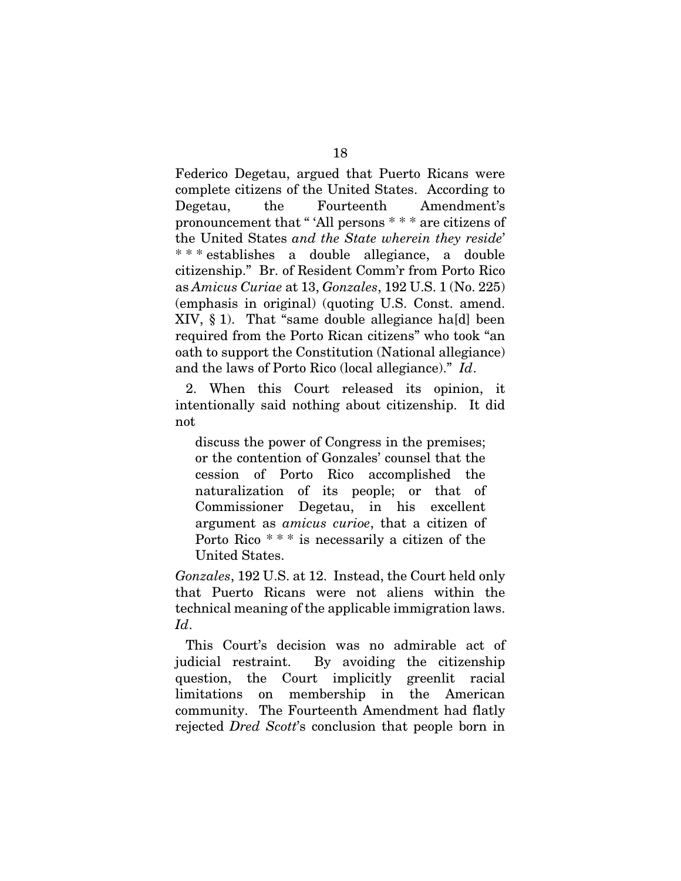Federico Degetau, argued that Puerto Ricans were complete citizens of the United States. According to Degetau, the Fourteenth Amendment's pronouncement that " 'All persons \* \* \* are citizens of the United States *and the State wherein they reside*' \* \* \* establishes a double allegiance, a double citizenship." Br. of Resident Comm'r from Porto Rico as *Amicus Curiae* at 13, *Gonzales*, 192 U.S. 1 (No. 225) (emphasis in original) (quoting U.S. Const. amend.  $XIV, § 1$ ). That "same double allegiance ha[d] been required from the Porto Rican citizens" who took "an oath to support the Constitution (National allegiance) and the laws of Porto Rico (local allegiance)." *Id*.

2. When this Court released its opinion, it intentionally said nothing about citizenship. It did not

discuss the power of Congress in the premises; or the contention of Gonzales' counsel that the cession of Porto Rico accomplished the naturalization of its people; or that of Commissioner Degetau, in his excellent argument as *amicus curioe*, that a citizen of Porto Rico \* \* \* is necessarily a citizen of the United States.

*Gonzales*, 192 U.S. at 12. Instead, the Court held only that Puerto Ricans were not aliens within the technical meaning of the applicable immigration laws. *Id*.

This Court's decision was no admirable act of judicial restraint. By avoiding the citizenship question, the Court implicitly greenlit racial limitations on membership in the American community. The Fourteenth Amendment had flatly rejected *Dred Scott*'s conclusion that people born in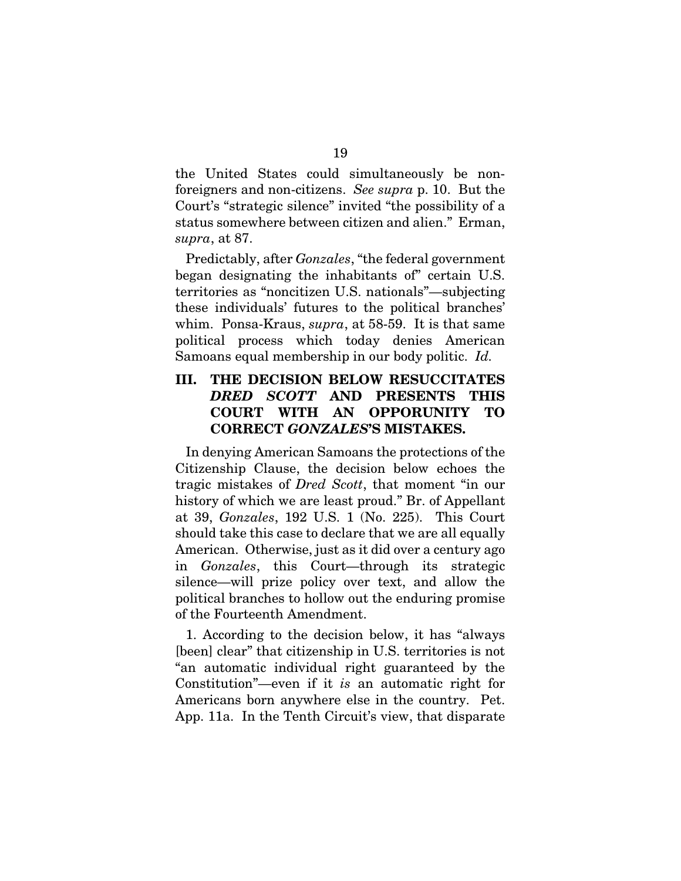the United States could simultaneously be nonforeigners and non-citizens. *See supra* p. 10. But the Court's "strategic silence" invited "the possibility of a status somewhere between citizen and alien." Erman, *supra*, at 87.

Predictably, after *Gonzales*, "the federal government began designating the inhabitants of" certain U.S. territories as "noncitizen U.S. nationals"—subjecting these individuals' futures to the political branches' whim. Ponsa-Kraus, *supra*, at 58-59. It is that same political process which today denies American Samoans equal membership in our body politic. *Id.*

# III. THE DECISION BELOW RESUCCITATES *DRED SCOTT* AND PRESENTS THIS COURT WITH AN OPPORUNITY TO CORRECT *GONZALES*'S MISTAKES.

In denying American Samoans the protections of the Citizenship Clause, the decision below echoes the tragic mistakes of *Dred Scott*, that moment "in our history of which we are least proud." Br. of Appellant at 39, *Gonzales*, 192 U.S. 1 (No. 225). This Court should take this case to declare that we are all equally American. Otherwise, just as it did over a century ago in *Gonzales*, this Court—through its strategic silence—will prize policy over text, and allow the political branches to hollow out the enduring promise of the Fourteenth Amendment.

1. According to the decision below, it has "always [been] clear" that citizenship in U.S. territories is not "an automatic individual right guaranteed by the Constitution"—even if it *is* an automatic right for Americans born anywhere else in the country. Pet. App. 11a. In the Tenth Circuit's view, that disparate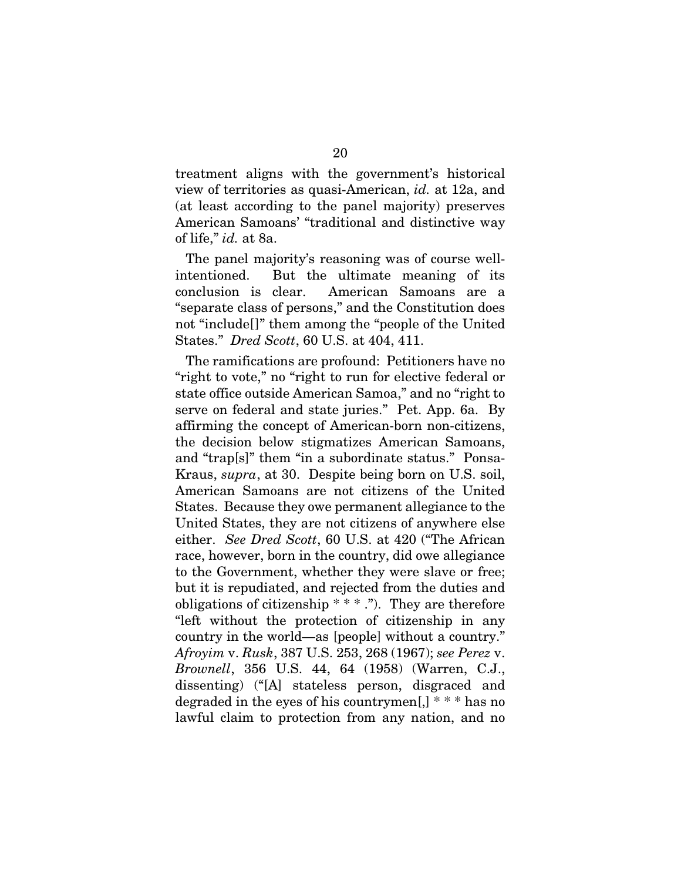treatment aligns with the government's historical view of territories as quasi-American, *id.* at 12a, and (at least according to the panel majority) preserves American Samoans' "traditional and distinctive way of life," *id.* at 8a.

The panel majority's reasoning was of course wellintentioned. But the ultimate meaning of its conclusion is clear. American Samoans are a "separate class of persons," and the Constitution does not "include[]" them among the "people of the United States." *Dred Scott*, 60 U.S. at 404, 411.

The ramifications are profound: Petitioners have no "right to vote," no "right to run for elective federal or state office outside American Samoa," and no "right to serve on federal and state juries." Pet. App. 6a. By affirming the concept of American-born non-citizens, the decision below stigmatizes American Samoans, and "trap[s]" them "in a subordinate status." Ponsa-Kraus, *supra*, at 30. Despite being born on U.S. soil, American Samoans are not citizens of the United States. Because they owe permanent allegiance to the United States, they are not citizens of anywhere else either. *See Dred Scott*, 60 U.S. at 420 ("The African race, however, born in the country, did owe allegiance to the Government, whether they were slave or free; but it is repudiated, and rejected from the duties and obligations of citizenship  $***$ ."). They are therefore "left without the protection of citizenship in any country in the world—as [people] without a country." *Afroyim* v. *Rusk*, 387 U.S. 253, 268 (1967); *see Perez* v. *Brownell*, 356 U.S. 44, 64 (1958) (Warren, C.J., dissenting) ("[A] stateless person, disgraced and degraded in the eyes of his countrymen[,] \* \* \* has no lawful claim to protection from any nation, and no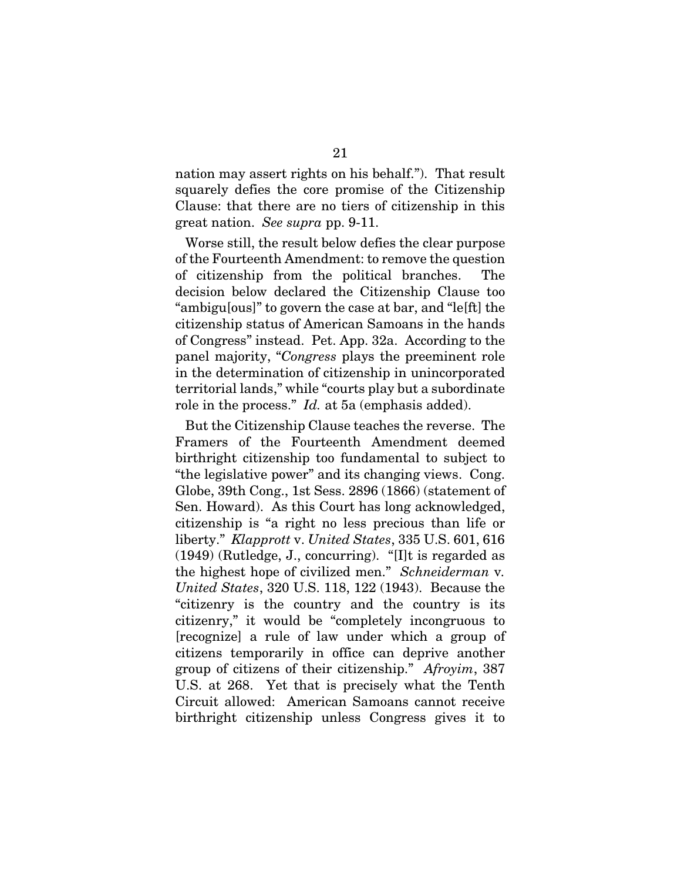nation may assert rights on his behalf."). That result squarely defies the core promise of the Citizenship Clause: that there are no tiers of citizenship in this great nation. *See supra* pp. 9-11.

Worse still, the result below defies the clear purpose of the Fourteenth Amendment: to remove the question of citizenship from the political branches. The decision below declared the Citizenship Clause too "ambigu[ous]" to govern the case at bar, and "le[ft] the citizenship status of American Samoans in the hands of Congress" instead. Pet. App. 32a. According to the panel majority, "*Congress* plays the preeminent role in the determination of citizenship in unincorporated territorial lands," while "courts play but a subordinate role in the process." *Id.* at 5a (emphasis added).

But the Citizenship Clause teaches the reverse. The Framers of the Fourteenth Amendment deemed birthright citizenship too fundamental to subject to "the legislative power" and its changing views. Cong. Globe, 39th Cong., 1st Sess. 2896 (1866) (statement of Sen. Howard). As this Court has long acknowledged, citizenship is "a right no less precious than life or liberty." *Klapprott* v. *United States*, 335 U.S. 601, 616 (1949) (Rutledge, J., concurring). "[I]t is regarded as the highest hope of civilized men." *Schneiderman* v*. United States*, 320 U.S. 118, 122 (1943). Because the "citizenry is the country and the country is its citizenry," it would be "completely incongruous to [recognize] a rule of law under which a group of citizens temporarily in office can deprive another group of citizens of their citizenship." *Afroyim*, 387 U.S. at 268. Yet that is precisely what the Tenth Circuit allowed: American Samoans cannot receive birthright citizenship unless Congress gives it to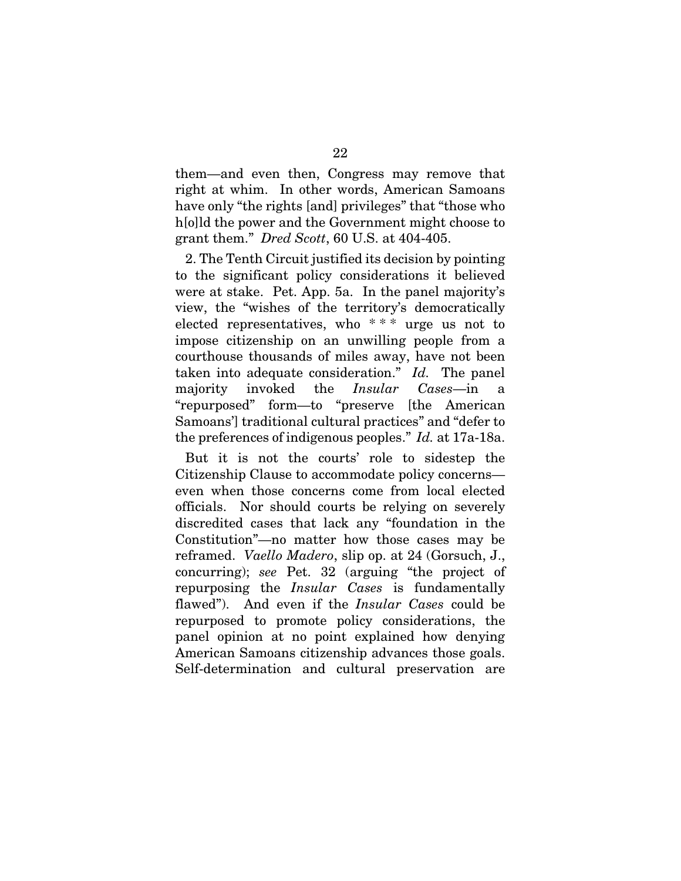them—and even then, Congress may remove that right at whim. In other words, American Samoans have only "the rights [and] privileges" that "those who holld the power and the Government might choose to grant them." *Dred Scott*, 60 U.S. at 404-405.

2. The Tenth Circuit justified its decision by pointing to the significant policy considerations it believed were at stake. Pet. App. 5a. In the panel majority's view, the "wishes of the territory's democratically elected representatives, who  $***$  urge us not to impose citizenship on an unwilling people from a courthouse thousands of miles away, have not been taken into adequate consideration." *Id.* The panel majority invoked the *Insular Cases*—in a "repurposed" form—to "preserve [the American Samoans'] traditional cultural practices" and "defer to the preferences of indigenous peoples." *Id.* at 17a-18a.

But it is not the courts' role to sidestep the Citizenship Clause to accommodate policy concerns even when those concerns come from local elected officials. Nor should courts be relying on severely discredited cases that lack any "foundation in the Constitution"—no matter how those cases may be reframed. *Vaello Madero*, slip op. at 24 (Gorsuch, J., concurring); *see* Pet. 32 (arguing "the project of repurposing the *Insular Cases* is fundamentally flawed"). And even if the *Insular Cases* could be repurposed to promote policy considerations, the panel opinion at no point explained how denying American Samoans citizenship advances those goals. Self-determination and cultural preservation are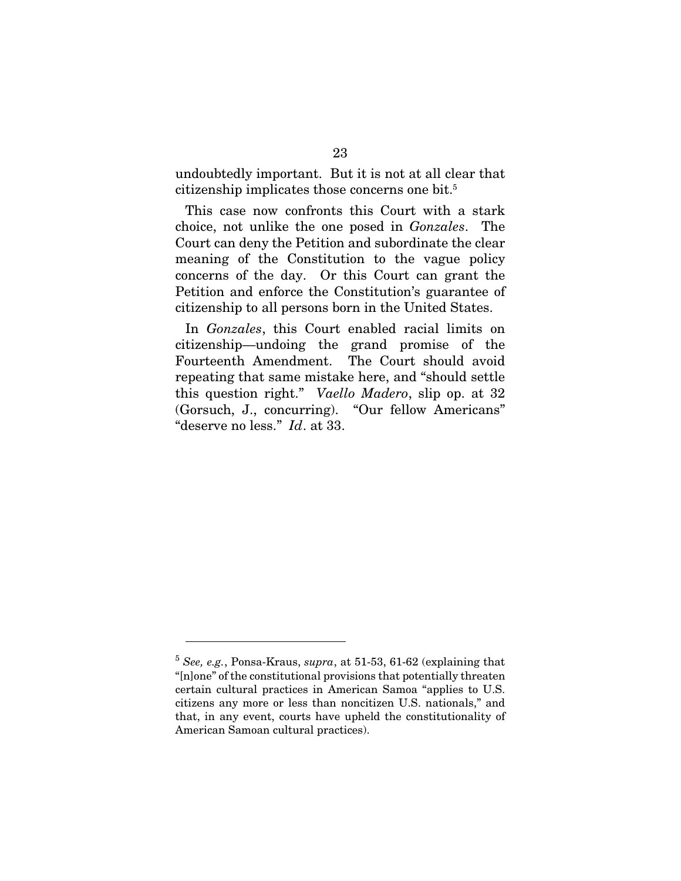undoubtedly important. But it is not at all clear that citizenship implicates those concerns one bit.<sup>5</sup>

This case now confronts this Court with a stark choice, not unlike the one posed in *Gonzales*. The Court can deny the Petition and subordinate the clear meaning of the Constitution to the vague policy concerns of the day. Or this Court can grant the Petition and enforce the Constitution's guarantee of citizenship to all persons born in the United States.

In *Gonzales*, this Court enabled racial limits on citizenship—undoing the grand promise of the Fourteenth Amendment. The Court should avoid repeating that same mistake here, and "should settle this question right." *Vaello Madero*, slip op. at 32 (Gorsuch, J., concurring). "Our fellow Americans" "deserve no less." *Id*. at 33.

<sup>5</sup> *See, e.g.*, Ponsa-Kraus, *supra*, at 51-53, 61-62 (explaining that "[n]one" of the constitutional provisions that potentially threaten certain cultural practices in American Samoa "applies to U.S. citizens any more or less than noncitizen U.S. nationals," and that, in any event, courts have upheld the constitutionality of American Samoan cultural practices).